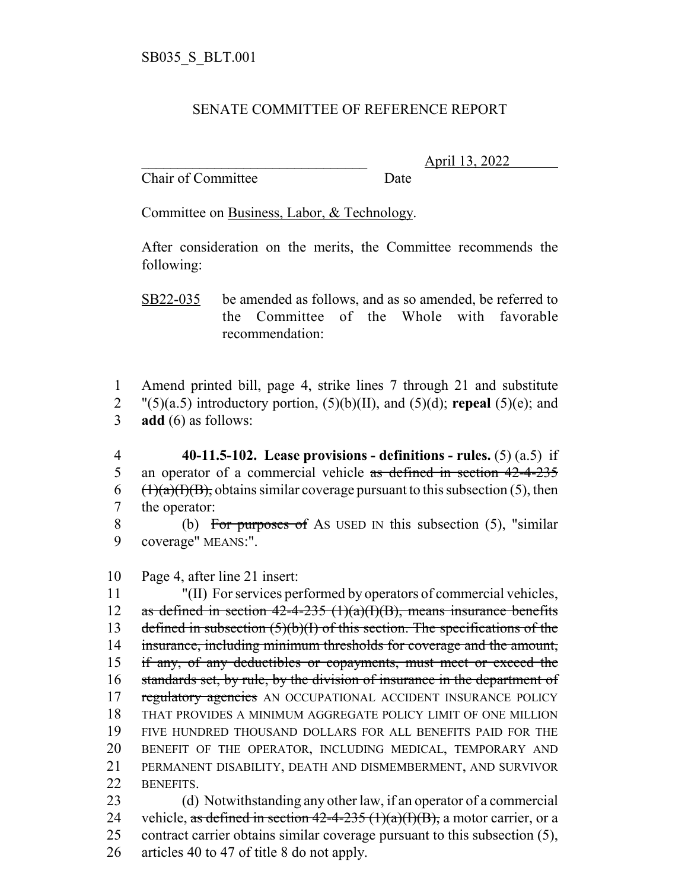## SENATE COMMITTEE OF REFERENCE REPORT

Chair of Committee Date

\_\_\_\_\_\_\_\_\_\_\_\_\_\_\_\_\_\_\_\_\_\_\_\_\_\_\_\_\_\_\_ April 13, 2022

Committee on Business, Labor, & Technology.

After consideration on the merits, the Committee recommends the following:

SB22-035 be amended as follows, and as so amended, be referred to the Committee of the Whole with favorable recommendation:

1 Amend printed bill, page 4, strike lines 7 through 21 and substitute  $2$  "(5)(a.5) introductory portion, (5)(b)(II), and (5)(d); **repeal** (5)(e); and 3 **add** (6) as follows:

 **40-11.5-102. Lease provisions - definitions - rules.** (5) (a.5) if 5 an operator of a commercial vehicle as defined in section 42-4-235  $(\frac{1}{a})(\frac{1}{b})$ , obtains similar coverage pursuant to this subsection (5), then the operator:

8 (b) For purposes of AS USED IN this subsection (5), "similar 9 coverage" MEANS:".

10 Page 4, after line 21 insert:

 "(II) For services performed by operators of commercial vehicles, 12 as defined in section  $42-4-235$  (1)(a)(I)(B), means insurance benefits 13 defined in subsection  $(5)(b)(I)$  of this section. The specifications of the insurance, including minimum thresholds for coverage and the amount, if any, of any deductibles or copayments, must meet or exceed the standards set, by rule, by the division of insurance in the department of 17 regulatory agencies AN OCCUPATIONAL ACCIDENT INSURANCE POLICY THAT PROVIDES A MINIMUM AGGREGATE POLICY LIMIT OF ONE MILLION FIVE HUNDRED THOUSAND DOLLARS FOR ALL BENEFITS PAID FOR THE BENEFIT OF THE OPERATOR, INCLUDING MEDICAL, TEMPORARY AND PERMANENT DISABILITY, DEATH AND DISMEMBERMENT, AND SURVIVOR BENEFITS. (d) Notwithstanding any other law, if an operator of a commercial

24 vehicle, as defined in section  $42-4-235(1)(a)(I)(B)$ , a motor carrier, or a 25 contract carrier obtains similar coverage pursuant to this subsection (5),

26 articles 40 to 47 of title 8 do not apply.